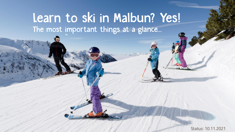# Learn to ski in Malbun? Yes! The most important things at a glance...

Status: 10.11.2021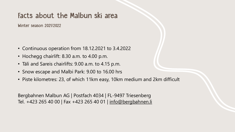### Facts about the Malbun ski area

Winter season 2021/2022

- Continuous operation from 18.12.2021 to 3.4.2022
- Hochegg chairlift: 8.30 a.m. to 4.00 p.m.
- Täli and Sareis chairlifts: 9.00 a.m. to 4.15 p.m.
- Snow escape and Malbi Park: 9.00 to 16.00 hrs
- Piste kilometres: 23, of which 11km easy, 10km medium and 2km difficult

Bergbahnen Malbun AG | Postfach 4034 | FL-9497 Triesenberg Tel. +423 265 40 00 | Fax +423 265 40 01 | [info@bergbahnen.li](mailto:info@bergbahnen.li)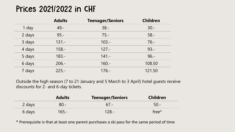## **Prices 2021/2022 in CHF**

|        | <b>Adults</b> | <b>Teenager/Seniors</b> | <b>Children</b> |
|--------|---------------|-------------------------|-----------------|
| 1 day  | $49. -$       | $38. -$                 | $30. -$         |
| 2 days | $95 -$        | $75. -$                 | $58. -$         |
| 3 days | $131 -$       | $103 -$                 | $76. -$         |
| 4 days | $158. -$      | $127 -$                 | $93 -$          |
| 5 days | $183 -$       | $141 -$                 | $96. -$         |
| 6 days | $206. -$      | $160 -$                 | 108.50          |
| 7 days | $225 -$       | $176 -$                 | 121.50          |

Outside the high season (7 to 21 January and 5 March to 3 April) hotel guests receive discounts for 2- and 6-day tickets.

|        | <b>Adults</b> | Teenager/Seniors | <b>Children</b> |
|--------|---------------|------------------|-----------------|
| 2 days | 80.-          | $6/ -$           | $50 -$          |
| 6 days | $165 -$       | $128 -$          | free $*$        |

\* Prerequisite is that at least one parent purchases a ski pass for the same period of time.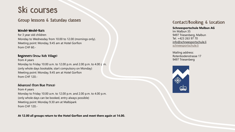## Ski courses

### Group lessons & Saturday classes

#### Windel-Wedel-Kurs

for 3 year old children Monday to Wednesday from 10.00 to 12.00 (mornings only). Meeting point: Monday, 9.45 am at Hotel Gorfion from CHF 60.-

#### **Beginners (Snow Kids Village)**

from 4 years Monday to Friday 10.00 a.m. to 12.00 p.m. and 2.00 p.m. to 4.00 p.m. (only whole days bookable, start compulsory on Monday) Meeting point: Monday, 9.45 am at Hotel Gorfion from CHF 120.-

#### Advanced (from Blue Prince)

from 4 years Monday to Friday 10.00 a.m. to 12.00 p.m. and 2.00 p.m. to 4.00 p.m. (only whole days can be booked, entry always possible) Meeting point: Monday 9.30 am at Malbipark from CHF 120.-

**At 12.00 all groups return to the Hotel Gorfion and meet there again at 14.00.**

### Contact/Booking & Location

#### **Schneesportschule Malbun AG**

Im Malbun 35 9497 Triesenberg, Malbun Tel. +423 263 97 70 [info@schneesportschule.li](mailto:info@schneesportschule.li) [schneesportschule.li](http://www.schneesportschule.li/)

Mailing address: Rotenbodenstrasse 17 9497 Triesenberg

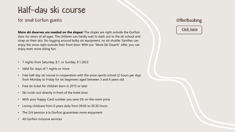## Half-day ski course

for small Gorfion guests

**More ski dwarves are needed on the slopes!** The slopes are right outside the Gorfion door for skiers of all ages. The children can hardly wait to dash out to the ski school and strap on their skis. No lugging around bulky ski equipment, no ski shuttle. Families can enjoy the snow right outside their front door. With our "More Ski Dwarfs" offer, you can enjoy even more skiing fun:

- 7 nights from Saturday, 8.1. or Sunday, 9.1.2022
- Valid for stays of 7 nights or more
- Free half-day ski course in cooperation with the snow sports school (2 hours per day) from Monday to Friday for ski beginners aged between 3 and 6 years old
- Free ski ticket for children born in 2015 or later
- Ski-in/ski-out directly in front of the hotel door
- With your Happy-Card number you save 5% on the room price
- Loving childcare from 0 years daily from 09.00 to 20.30 hours
- The 3/4 pension à la Gorfion guarantees more enjoyment
- All Gorfion inclusive services

### Offer/Booking

**Click here**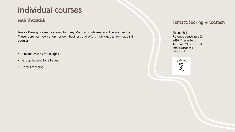## **Individual courses**

with Skicoach.li

Jessica Kressig is already known to many Malbun holidaymakers. The woman from Triesenberg has now set up her own business and offers individual, tailor-made ski courses:

- Private lessons for all ages
- Group lessons for all ages
- Lady's morning

### Contact/Booking & Location

Skicoach.li Rotenbodenstrasse 24, 9497 Triesenberg Tel. +41 79 667 35 81 [info@skicoach.li](mailto:info@skicoach.li) [skicoach.li](https://skicoach.li/)